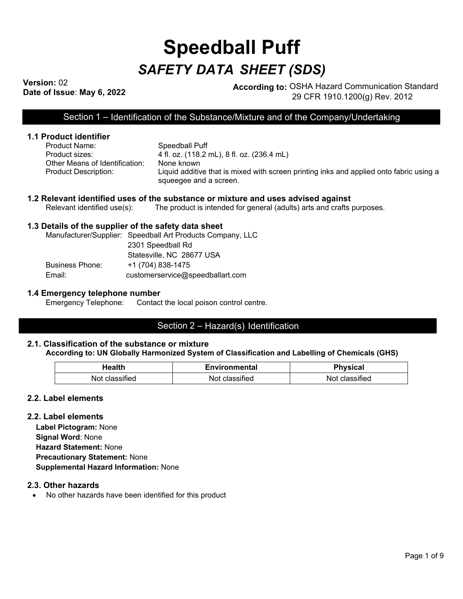# **Speedball Puff** *SAFETY DATA SHEET (SDS)*

**Version:** 02

**Dression:** UZ<br> **Date of Issue: May 6, 2022 According to:** OSHA Hazard Communication Standard 29 CFR 1910.1200(g) Rev. 2012

Section 1 – Identification of the Substance/Mixture and of the Company/Undertaking

# **1.1 Product identifier**

Speedball Puff Product sizes: 4 fl. oz. (118.2 mL), 8 fl. oz. (236.4 mL) Other Means of Identification: None known Product Description: Liquid additive that is mixed with screen printing inks and applied onto fabric using a squeegee and a screen.

# **1.2 Relevant identified uses of the substance or mixture and uses advised against**<br>Relevant identified use(s): The product is intended for general (adults) arts and crafts

The product is intended for general (adults) arts and crafts purposes.

## **1.3 Details of the supplier of the safety data sheet**

Manufacturer/Supplier: Speedball Art Products Company, LLC 2301 Speedball Rd Statesville, NC 28677 USA Business Phone: +1 (704) 838-1475 Email: customerservice@speedballart.com

# **1.4 Emergency telephone number**

Contact the local poison control centre.

# Section 2 – Hazard(s) Identification

#### **2.1. Classification of the substance or mixture According to: UN Globally Harmonized System of Classification and Labelling of Chemicals (GHS)**

| Health                  | Environmental        | <b>Physical</b>   |
|-------------------------|----------------------|-------------------|
| Not.<br>sitied<br>class | sified<br>Not<br>vo: | classified<br>'NO |

## **2.2. Label elements**

## **2.2. Label elements**

**Label Pictogram:** None **Signal Word**: None **Hazard Statement:** None **Precautionary Statement:** None **Supplemental Hazard Information:** None

## **2.3. Other hazards**

• No other hazards have been identified for this product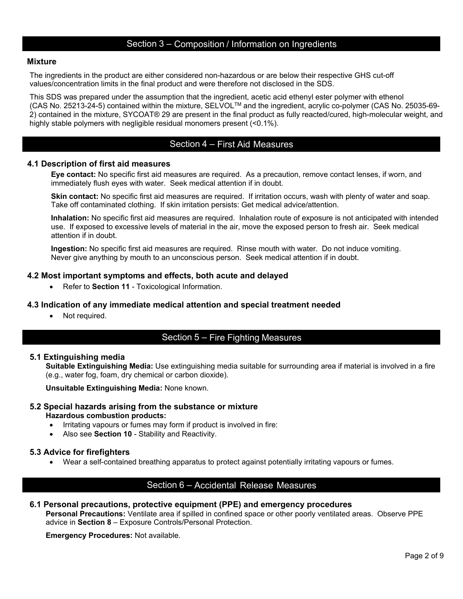# Section 3 – Composition / Information on Ingredients

## **Mixture**

The ingredients in the product are either considered non-hazardous or are below their respective GHS cut-off values/concentration limits in the final product and were therefore not disclosed in the SDS.

This SDS was prepared under the assumption that the ingredient, acetic acid ethenyl ester polymer with ethenol (CAS No. 25213-24-5) contained within the mixture, SELVOLTM and the ingredient, acrylic co-polymer (CAS No. 25035-69- 2) contained in the mixture, SYCOAT® 29 are present in the final product as fully reacted/cured, high-molecular weight, and highly stable polymers with negligible residual monomers present (<0.1%).

# Section 4 – First Aid Measures

#### **4.1 Description of first aid measures**

**Eye contact:** No specific first aid measures are required. As a precaution, remove contact lenses, if worn, and immediately flush eyes with water. Seek medical attention if in doubt.

**Skin contact:** No specific first aid measures are required. If irritation occurs, wash with plenty of water and soap. Take off contaminated clothing. If skin irritation persists: Get medical advice/attention.

**Inhalation:** No specific first aid measures are required. Inhalation route of exposure is not anticipated with intended use. If exposed to excessive levels of material in the air, move the exposed person to fresh air. Seek medical attention if in doubt.

**Ingestion:** No specific first aid measures are required. Rinse mouth with water. Do not induce vomiting. Never give anything by mouth to an unconscious person. Seek medical attention if in doubt.

#### **4.2 Most important symptoms and effects, both acute and delayed**

• Refer to **Section 11** - Toxicological Information.

## **4.3 Indication of any immediate medical attention and special treatment needed**

• Not required.

# Section 5 – Fire Fighting Measures

#### **5.1 Extinguishing media**

**Suitable Extinguishing Media:** Use extinguishing media suitable for surrounding area if material is involved in a fire (e.g., water fog, foam, dry chemical or carbon dioxide).

**Unsuitable Extinguishing Media:** None known.

## **5.2 Special hazards arising from the substance or mixture Hazardous combustion products:**

- Irritating vapours or fumes may form if product is involved in fire:
- Also see **Section 10** Stability and Reactivity.

#### **5.3 Advice for firefighters**

• Wear a self-contained breathing apparatus to protect against potentially irritating vapours or fumes.

# Section 6 – Accidental Release Measures

## **6.1 Personal precautions, protective equipment (PPE) and emergency procedures**

**Personal Precautions:** Ventilate area if spilled in confined space or other poorly ventilated areas. Observe PPE advice in **Section 8** – Exposure Controls/Personal Protection.

**Emergency Procedures:** Not available.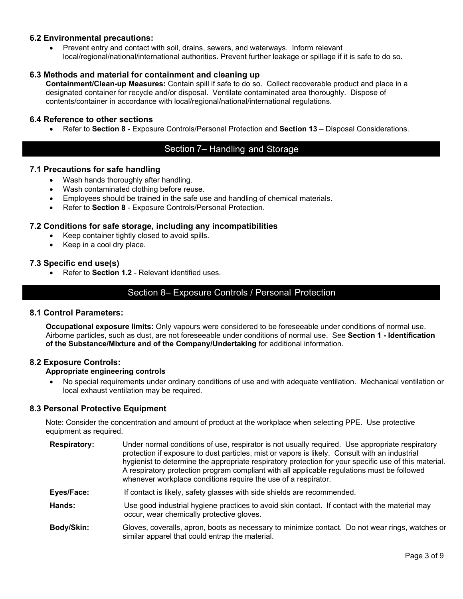# **6.2 Environmental precautions:**

• Prevent entry and contact with soil, drains, sewers, and waterways. Inform relevant local/regional/national/international authorities. Prevent further leakage or spillage if it is safe to do so.

# **6.3 Methods and material for containment and cleaning up**

**Containment/Clean-up Measures:** Contain spill if safe to do so. Collect recoverable product and place in a designated container for recycle and/or disposal. Ventilate contaminated area thoroughly. Dispose of contents/container in accordance with local/regional/national/international regulations.

## **6.4 Reference to other sections**

• Refer to **Section 8** - Exposure Controls/Personal Protection and **Section 13** – Disposal Considerations.

# Section 7– Handling and Storage

## **7.1 Precautions for safe handling**

- Wash hands thoroughly after handling.
- Wash contaminated clothing before reuse.
- Employees should be trained in the safe use and handling of chemical materials.
- Refer to **Section 8** Exposure Controls/Personal Protection.

## **7.2 Conditions for safe storage, including any incompatibilities**

- Keep container tightly closed to avoid spills.
- Keep in a cool dry place.

## **7.3 Specific end use(s)**

• Refer to **Section 1.2** - Relevant identified uses.

# Section 8– Exposure Controls / Personal Protection

## **8.1 Control Parameters:**

**Occupational exposure limits:** Only vapours were considered to be foreseeable under conditions of normal use. Airborne particles, such as dust, are not foreseeable under conditions of normal use. See **Section 1 - Identification of the Substance/Mixture and of the Company/Undertaking** for additional information.

## **8.2 Exposure Controls:**

## **Appropriate engineering controls**

• No special requirements under ordinary conditions of use and with adequate ventilation. Mechanical ventilation or local exhaust ventilation may be required.

## **8.3 Personal Protective Equipment**

Note: Consider the concentration and amount of product at the workplace when selecting PPE. Use protective equipment as required.

- **Respiratory:** Under normal conditions of use, respirator is not usually required. Use appropriate respiratory protection if exposure to dust particles, mist or vapors is likely. Consult with an industrial hygienist to determine the appropriate respiratory protection for your specific use of this material. A respiratory protection program compliant with all applicable regulations must be followed whenever workplace conditions require the use of a respirator.
- **Eyes/Face:** If contact is likely, safety glasses with side shields are recommended.
- **Hands:** Use good industrial hygiene practices to avoid skin contact. If contact with the material may occur, wear chemically protective gloves.
- **Body/Skin:** Gloves, coveralls, apron, boots as necessary to minimize contact. Do not wear rings, watches or similar apparel that could entrap the material.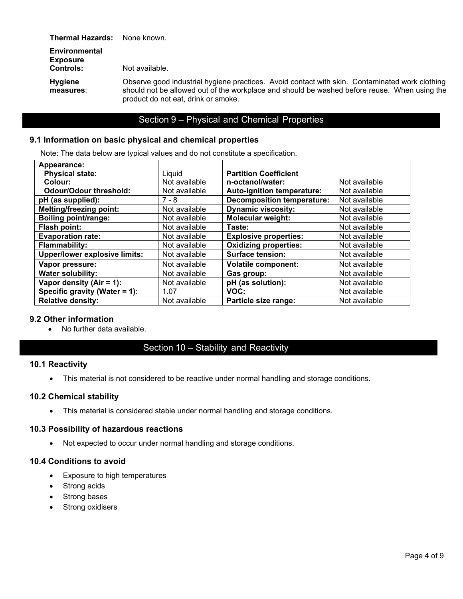**Thermal Hazards:** None known.

| <b>Environmental</b><br><b>Exposure</b><br><b>Controls:</b> | Not available.                                                                                                                                                                                                                        |
|-------------------------------------------------------------|---------------------------------------------------------------------------------------------------------------------------------------------------------------------------------------------------------------------------------------|
| <b>Hygiene</b><br>measures:                                 | Observe good industrial hygiene practices. Avoid contact with skin. Contaminated work clothing<br>should not be allowed out of the workplace and should be washed before reuse. When using the<br>product do not eat, drink or smoke. |

# Section 9 – Physical and Chemical Properties

# **9.1 Information on basic physical and chemical properties**

Note: The data below are typical values and do not constitute a specification.

| Appearance:                          |               |                                   |               |
|--------------------------------------|---------------|-----------------------------------|---------------|
| <b>Physical state:</b>               | Liquid        | <b>Partition Coefficient</b>      |               |
| Colour:                              | Not available | n-octanol/water:                  | Not available |
| <b>Odour/Odour threshold:</b>        | Not available | Auto-ignition temperature:        | Not available |
| pH (as supplied):                    | $7 - 8$       | <b>Decomposition temperature:</b> | Not available |
| <b>Melting/freezing point:</b>       | Not available | <b>Dynamic viscosity:</b>         | Not available |
| <b>Boiling point/range:</b>          | Not available | <b>Molecular weight:</b>          | Not available |
| Flash point:                         | Not available | Taste:                            | Not available |
| <b>Evaporation rate:</b>             | Not available | <b>Explosive properties:</b>      | Not available |
| <b>Flammability:</b>                 | Not available | <b>Oxidizing properties:</b>      | Not available |
| <b>Upper/lower explosive limits:</b> | Not available | <b>Surface tension:</b>           | Not available |
| Vapor pressure:                      | Not available | <b>Volatile component:</b>        | Not available |
| <b>Water solubility:</b>             | Not available | Gas group:                        | Not available |
| Vapor density (Air = $1$ ):          | Not available | pH (as solution):                 | Not available |
| Specific gravity (Water = 1):        | 1.07          | VOC:                              | Not available |
| <b>Relative density:</b>             | Not available | Particle size range:              | Not available |

## **9.2 Other information**

• No further data available.

# Section 10 – Stability and Reactivity

## **10.1 Reactivity**

• This material is not considered to be reactive under normal handling and storage conditions.

# **10.2 Chemical stability**

• This material is considered stable under normal handling and storage conditions.

## **10.3 Possibility of hazardous reactions**

• Not expected to occur under normal handling and storage conditions.

# **10.4 Conditions to avoid**

- Exposure to high temperatures
- Strong acids
- Strong bases
- Strong oxidisers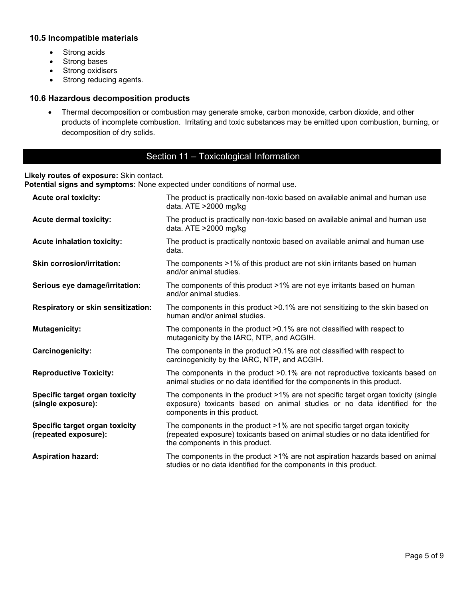# **10.5 Incompatible materials**

- Strong acids
- Strong bases
- Strong oxidisers
- Strong reducing agents.

# **10.6 Hazardous decomposition products**

• Thermal decomposition or combustion may generate smoke, carbon monoxide, carbon dioxide, and other products of incomplete combustion. Irritating and toxic substances may be emitted upon combustion, burning, or decomposition of dry solids.

# Section 11 – Toxicological Information

# **Likely routes of exposure:** Skin contact.

**Potential signs and symptoms:** None expected under conditions of normal use.

| <b>Acute oral toxicity:</b>                            | The product is practically non-toxic based on available animal and human use<br>data. ATE >2000 mg/kg                                                                                          |
|--------------------------------------------------------|------------------------------------------------------------------------------------------------------------------------------------------------------------------------------------------------|
| <b>Acute dermal toxicity:</b>                          | The product is practically non-toxic based on available animal and human use<br>data. ATE >2000 mg/kg                                                                                          |
| <b>Acute inhalation toxicity:</b>                      | The product is practically nontoxic based on available animal and human use<br>data.                                                                                                           |
| <b>Skin corrosion/irritation:</b>                      | The components >1% of this product are not skin irritants based on human<br>and/or animal studies.                                                                                             |
| Serious eye damage/irritation:                         | The components of this product >1% are not eye irritants based on human<br>and/or animal studies.                                                                                              |
| <b>Respiratory or skin sensitization:</b>              | The components in this product $>0.1\%$ are not sensitizing to the skin based on<br>human and/or animal studies.                                                                               |
| <b>Mutagenicity:</b>                                   | The components in the product >0.1% are not classified with respect to<br>mutagenicity by the IARC, NTP, and ACGIH.                                                                            |
| Carcinogenicity:                                       | The components in the product >0.1% are not classified with respect to<br>carcinogenicity by the IARC, NTP, and ACGIH.                                                                         |
| <b>Reproductive Toxicity:</b>                          | The components in the product >0.1% are not reproductive toxicants based on<br>animal studies or no data identified for the components in this product.                                        |
| Specific target organ toxicity<br>(single exposure):   | The components in the product >1% are not specific target organ toxicity (single<br>exposure) toxicants based on animal studies or no data identified for the<br>components in this product.   |
| Specific target organ toxicity<br>(repeated exposure): | The components in the product >1% are not specific target organ toxicity<br>(repeated exposure) toxicants based on animal studies or no data identified for<br>the components in this product. |
| <b>Aspiration hazard:</b>                              | The components in the product >1% are not aspiration hazards based on animal<br>studies or no data identified for the components in this product.                                              |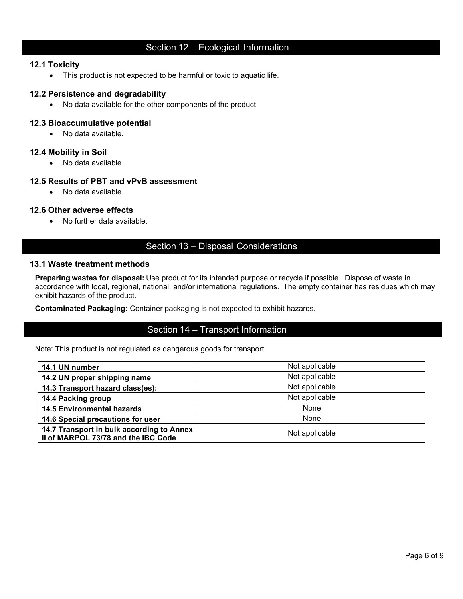# Section 12 – Ecological Information

## **12.1 Toxicity**

• This product is not expected to be harmful or toxic to aquatic life.

## **12.2 Persistence and degradability**

• No data available for the other components of the product.

## **12.3 Bioaccumulative potential**

• No data available.

## **12.4 Mobility in Soil**

• No data available.

# **12.5 Results of PBT and vPvB assessment**

• No data available.

## **12.6 Other adverse effects**

• No further data available.

# Section 13 – Disposal Considerations

## **13.1 Waste treatment methods**

**Preparing wastes for disposal:** Use product for its intended purpose or recycle if possible. Dispose of waste in accordance with local, regional, national, and/or international regulations. The empty container has residues which may exhibit hazards of the product.

**Contaminated Packaging:** Container packaging is not expected to exhibit hazards.

# Section 14 – Transport Information

Note: This product is not regulated as dangerous goods for transport.

| 14.1 UN number                                                                   | Not applicable |
|----------------------------------------------------------------------------------|----------------|
| 14.2 UN proper shipping name                                                     | Not applicable |
| 14.3 Transport hazard class(es):                                                 | Not applicable |
| 14.4 Packing group                                                               | Not applicable |
| <b>14.5 Environmental hazards</b>                                                | None           |
| 14.6 Special precautions for user                                                | None           |
| 14.7 Transport in bulk according to Annex<br>Il of MARPOL 73/78 and the IBC Code | Not applicable |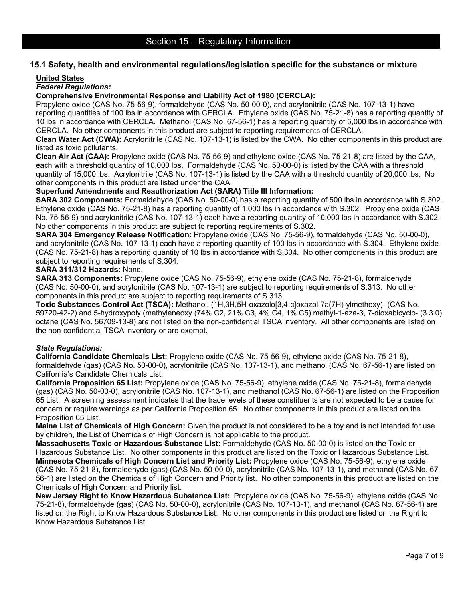# **15.1 Safety, health and environmental regulations/legislation specific for the substance or mixture**

#### **United States**

## *Federal Regulations:*

**Comprehensive Environmental Response and Liability Act of 1980 (CERCLA):**

Propylene oxide (CAS No. 75-56-9), formaldehyde (CAS No. 50-00-0), and acrylonitrile (CAS No. 107-13-1) have reporting quantities of 100 lbs in accordance with CERCLA. Ethylene oxide (CAS No. 75-21-8) has a reporting quantity of 10 lbs in accordance with CERCLA. Methanol (CAS No. 67-56-1) has a reporting quantity of 5,000 lbs in accordance with CERCLA. No other components in this product are subject to reporting requirements of CERCLA.

**Clean Water Act (CWA):** Acrylonitrile (CAS No. 107-13-1) is listed by the CWA.No other components in this product are listed as toxic pollutants.

**Clean Air Act (CAA):** Propylene oxide (CAS No. 75-56-9) and ethylene oxide (CAS No. 75-21-8) are listed by the CAA, each with a threshold quantity of 10,000 lbs. Formaldehyde (CAS No. 50-00-0) is listed by the CAA with a threshold quantity of 15,000 lbs. Acrylonitrile (CAS No. 107-13-1) is listed by the CAA with a threshold quantity of 20,000 lbs. No other components in this product are listed under the CAA.

## **Superfund Amendments and Reauthorization Act (SARA) Title III Information:**

**SARA 302 Components:** Formaldehyde (CAS No. 50-00-0) has a reporting quantity of 500 lbs in accordance with S.302. Ethylene oxide (CAS No. 75-21-8) has a reporting quantity of 1,000 lbs in accordance with S.302. Propylene oxide (CAS No. 75-56-9) and acrylonitrile (CAS No. 107-13-1) each have a reporting quantity of 10,000 lbs in accordance with S.302. No other components in this product are subject to reporting requirements of S.302.

**SARA 304 Emergency Release Notification:** Propylene oxide (CAS No. 75-56-9), formaldehyde (CAS No. 50-00-0), and acrylonitrile (CAS No. 107-13-1) each have a reporting quantity of 100 lbs in accordance with S.304. Ethylene oxide (CAS No. 75-21-8) has a reporting quantity of 10 lbs in accordance with S.304. No other components in this product are subject to reporting requirements of S.304.

#### **SARA 311/312 Hazards:** None.

**SARA 313 Components:** Propylene oxide (CAS No. 75-56-9), ethylene oxide (CAS No. 75-21-8), formaldehyde (CAS No. 50-00-0), and acrylonitrile (CAS No. 107-13-1) are subject to reporting requirements of S.313. No other components in this product are subject to reporting requirements of S.313.

**Toxic Substances Control Act (TSCA):** Methanol, (1H,3H,5H-oxazolo[3,4-c]oxazol-7a(7H)-ylmethoxy)- (CAS No. 59720-42-2) and 5-hydroxypoly (methyleneoxy (74% C2, 21% C3, 4% C4, 1% C5) methyl-1-aza-3, 7-dioxabicyclo- (3.3.0) octane (CAS No. 56709-13-8) are not listed on the non-confidential TSCA inventory. All other components are listed on the non-confidential TSCA inventory or are exempt.

## *State Regulations:*

**California Candidate Chemicals List:** Propylene oxide (CAS No. 75-56-9), ethylene oxide (CAS No. 75-21-8), formaldehyde (gas) (CAS No. 50-00-0), acrylonitrile (CAS No. 107-13-1), and methanol (CAS No. 67-56-1) are listed on California's Candidate Chemicals List.

**California Proposition 65 List:** Propylene oxide (CAS No. 75-56-9), ethylene oxide (CAS No. 75-21-8), formaldehyde (gas) (CAS No. 50-00-0), acrylonitrile (CAS No. 107-13-1), and methanol (CAS No. 67-56-1) are listed on the Proposition 65 List. A screening assessment indicates that the trace levels of these constituents are not expected to be a cause for concern or require warnings as per California Proposition 65. No other components in this product are listed on the Proposition 65 List.

**Maine List of Chemicals of High Concern:** Given the product is not considered to be a toy and is not intended for use by children, the List of Chemicals of High Concern is not applicable to the product.

**Massachusetts Toxic or Hazardous Substance List:** Formaldehyde (CAS No. 50-00-0) is listed on the Toxic or Hazardous Substance List. No other components in this product are listed on the Toxic or Hazardous Substance List. **Minnesota Chemicals of High Concern List and Priority List:** Propylene oxide (CAS No. 75-56-9), ethylene oxide (CAS No. 75-21-8), formaldehyde (gas) (CAS No. 50-00-0), acrylonitrile (CAS No. 107-13-1), and methanol (CAS No. 67- 56-1) are listed on the Chemicals of High Concern and Priority list. No other components in this product are listed on the Chemicals of High Concern and Priority list.

**New Jersey Right to Know Hazardous Substance List:** Propylene oxide (CAS No. 75-56-9), ethylene oxide (CAS No. 75-21-8), formaldehyde (gas) (CAS No. 50-00-0), acrylonitrile (CAS No. 107-13-1), and methanol (CAS No. 67-56-1) are listed on the Right to Know Hazardous Substance List. No other components in this product are listed on the Right to Know Hazardous Substance List.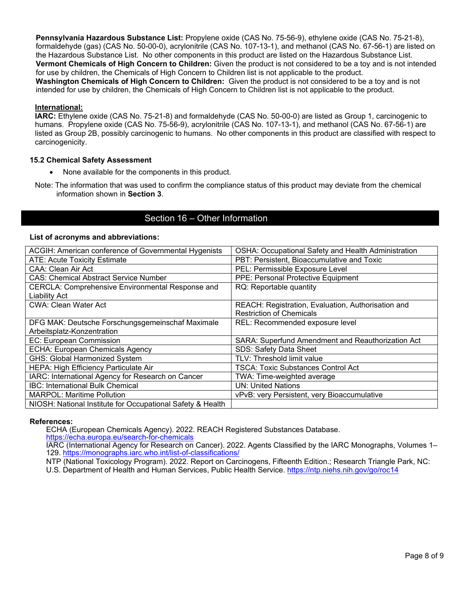**Pennsylvania Hazardous Substance List:** Propylene oxide (CAS No. 75-56-9), ethylene oxide (CAS No. 75-21-8), formaldehyde (gas) (CAS No. 50-00-0), acrylonitrile (CAS No. 107-13-1), and methanol (CAS No. 67-56-1) are listed on the Hazardous Substance List. No other components in this product are listed on the Hazardous Substance List. **Vermont Chemicals of High Concern to Children:** Given the product is not considered to be a toy and is not intended for use by children, the Chemicals of High Concern to Children list is not applicable to the product. **Washington Chemicals of High Concern to Children:** Given the product is not considered to be a toy and is not intended for use by children, the Chemicals of High Concern to Children list is not applicable to the product.

## **International:**

**IARC:** Ethylene oxide (CAS No. 75-21-8) and formaldehyde (CAS No. 50-00-0) are listed as Group 1, carcinogenic to humans. Propylene oxide (CAS No. 75-56-9), acrylonitrile (CAS No. 107-13-1), and methanol (CAS No. 67-56-1) are listed as Group 2B, possibly carcinogenic to humans. No other components in this product are classified with respect to carcinogenicity.

## **15.2 Chemical Safety Assessment**

- None available for the components in this product.
- Note: The information that was used to confirm the compliance status of this product may deviate from the chemical information shown in **Section 3**.

# Section 16 – Other Information

## **List of acronyms and abbreviations:**

| ACGIH: American conference of Governmental Hygenists                     | OSHA: Occupational Safety and Health Administration |
|--------------------------------------------------------------------------|-----------------------------------------------------|
| <b>ATE: Acute Toxicity Estimate</b>                                      | PBT: Persistent, Bioaccumulative and Toxic          |
| CAA: Clean Air Act                                                       | PEL: Permissible Exposure Level                     |
| <b>CAS: Chemical Abstract Service Number</b>                             | PPE: Personal Protective Equipment                  |
| CERCLA: Comprehensive Environmental Response and<br><b>Liability Act</b> | RQ: Reportable quantity                             |
| <b>CWA: Clean Water Act</b>                                              | REACH: Registration, Evaluation, Authorisation and  |
|                                                                          | <b>Restriction of Chemicals</b>                     |
| DFG MAK: Deutsche Forschungsgemeinschaf Maximale                         | REL: Recommended exposure level                     |
| Arbeitsplatz-Konzentration                                               |                                                     |
| EC: European Commission                                                  | SARA: Superfund Amendment and Reauthorization Act   |
| <b>ECHA: European Chemicals Agency</b>                                   | <b>SDS: Safety Data Sheet</b>                       |
| <b>GHS: Global Harmonized System</b>                                     | TLV: Threshold limit value                          |
| HEPA: High Efficiency Particulate Air                                    | <b>TSCA: Toxic Substances Control Act</b>           |
| IARC: International Agency for Research on Cancer                        | TWA: Time-weighted average                          |
| IBC: International Bulk Chemical                                         | <b>UN: United Nations</b>                           |
| <b>MARPOL: Maritime Pollution</b>                                        | vPvB: very Persistent, very Bioaccumulative         |
| NIOSH: National Institute for Occupational Safety & Health               |                                                     |

## **References:**

ECHA (European Chemicals Agency). 2022. REACH Registered Substances Database.

<https://echa.europa.eu/search-for-chemicals>

IARC (International Agency for Research on Cancer). 2022. Agents Classified by the IARC Monographs, Volumes 1–<br>129. https://monographs.iarc.who.int/list-of-classifications/

NTP (National Toxicology Program). 2022. Report on Carcinogens, Fifteenth Edition.; Research Triangle Park, NC:

U.S. Department of Health and Human Services, Public Health Service.<https://ntp.niehs.nih.gov/go/roc14>